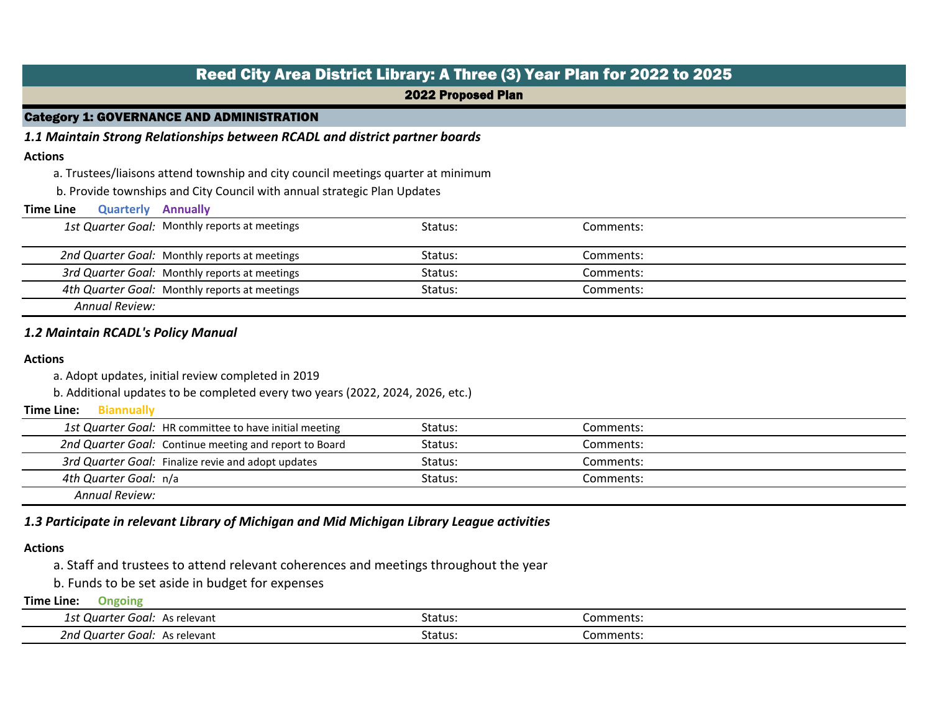|                                      | Reed City Area District Library: A Three (3) Year Plan for 2022 to 2025           |                           |           |                                           |  |  |  |
|--------------------------------------|-----------------------------------------------------------------------------------|---------------------------|-----------|-------------------------------------------|--|--|--|
|                                      |                                                                                   | <b>2022 Proposed Plan</b> |           |                                           |  |  |  |
|                                      | <b>Category 1: GOVERNANCE AND ADMINISTRATION</b>                                  |                           |           |                                           |  |  |  |
|                                      | 1.1 Maintain Strong Relationships between RCADL and district partner boards       |                           |           |                                           |  |  |  |
| <b>Actions</b>                       |                                                                                   |                           |           |                                           |  |  |  |
|                                      | a. Trustees/liaisons attend township and city council meetings quarter at minimum |                           |           |                                           |  |  |  |
|                                      | b. Provide townships and City Council with annual strategic Plan Updates          |                           |           |                                           |  |  |  |
| <b>Time Line</b><br><b>Quarterly</b> | <b>Annually</b>                                                                   |                           |           |                                           |  |  |  |
|                                      | 1st Quarter Goal: Monthly reports at meetings                                     | Status:                   | Comments: |                                           |  |  |  |
|                                      | 2nd Quarter Goal: Monthly reports at meetings                                     | Status:                   | Comments: |                                           |  |  |  |
|                                      | 3rd Quarter Goal: Monthly reports at meetings                                     | Status:                   | Comments: |                                           |  |  |  |
|                                      | 4th Quarter Goal: Monthly reports at meetings                                     | Status:                   | Comments: |                                           |  |  |  |
| <b>Annual Review:</b>                |                                                                                   |                           |           |                                           |  |  |  |
|                                      |                                                                                   |                           |           | <b>1.2 Maintain RCADL's Policy Manual</b> |  |  |  |

### **Actions**

a. Adopt updates, initial review completed in 2019

b. Additional updates to be completed every two years (2022, 2024, 2026, etc.)

### **Biannually Time Line:**

|                       | 1st Quarter Goal: HR committee to have initial meeting | Status: | Comments: |
|-----------------------|--------------------------------------------------------|---------|-----------|
|                       | 2nd Quarter Goal: Continue meeting and report to Board | Status: | Comments: |
|                       | 3rd Quarter Goal: Finalize revie and adopt updates     | Status: | Comments: |
| 4th Quarter Goal: n/a |                                                        | Status: | Comments: |
| <b>Annual Review:</b> |                                                        |         |           |

# *1.3 Participate in relevant Library of Michigan and Mid Michigan Library League activities*

# **Actions**

a. Staff and trustees to attend relevant coherences and meetings throughout the year

b. Funds to be set aside in budget for expenses

| 1st<br>Ouarter<br>Goal:<br>As relevant   | Status: | Comments: |
|------------------------------------------|---------|-----------|
| 2nd<br>Goal:<br>. Quarter<br>As relevant | Status: | .omments: |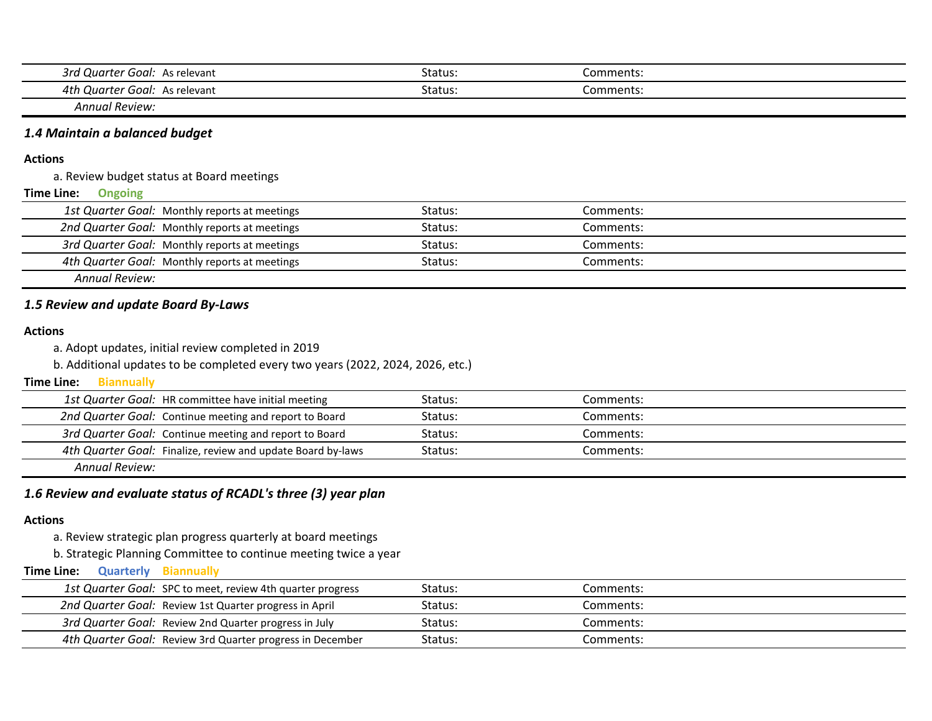| 3rd ′<br>or f<br>Goal:<br><b>Juart</b><br>As relevant | Status: | Comments: |  |
|-------------------------------------------------------|---------|-----------|--|
| 4th<br>$-0.00$<br>Goal:<br>Quart<br>As relevant       | Status: | comments  |  |

*Annual Review:*

# *1.4 Maintain a balanced budget*

#### **Actions**

a. Review budget status at Board meetings

#### **Ongoing Time Line:**

| 1st Quarter Goal: Monthly reports at meetings | Status: | Comments: |  |
|-----------------------------------------------|---------|-----------|--|
| 2nd Quarter Goal: Monthly reports at meetings | Status: | Comments: |  |
| 3rd Quarter Goal: Monthly reports at meetings | Status: | Comments: |  |
| 4th Quarter Goal: Monthly reports at meetings | Status: | Comments: |  |
| Annual Review:                                |         |           |  |

## *1.5 Review and update Board By-Laws*

#### **Actions**

a. Adopt updates, initial review completed in 2019

b. Additional updates to be completed every two years (2022, 2024, 2026, etc.)

#### **Biannually Time Line:**

| 1st Quarter Goal: HR committee have initial meeting         | Status: | Comments: |
|-------------------------------------------------------------|---------|-----------|
| 2nd Quarter Goal: Continue meeting and report to Board      | Status: | Comments: |
| 3rd Quarter Goal: Continue meeting and report to Board      | Status: | Comments: |
| 4th Quarter Goal: Finalize, review and update Board by-laws | Status: | Comments: |
| المنتجان والمنتمرة                                          |         |           |

*Annual Review:*

# *1.6 Review and evaluate status of RCADL's three (3) year plan*

#### **Actions**

a. Review strategic plan progress quarterly at board meetings

b. Strategic Planning Committee to continue meeting twice a year

#### **Quarterly Biannually Time Line:**

| 1st Quarter Goal: SPC to meet, review 4th quarter progress | Status: | Comments: |  |
|------------------------------------------------------------|---------|-----------|--|
| 2nd Quarter Goal: Review 1st Quarter progress in April     | Status: | Comments: |  |
| 3rd Quarter Goal: Review 2nd Quarter progress in July      | Status: | Comments: |  |
| 4th Quarter Goal: Review 3rd Quarter progress in December  | Status: | Comments: |  |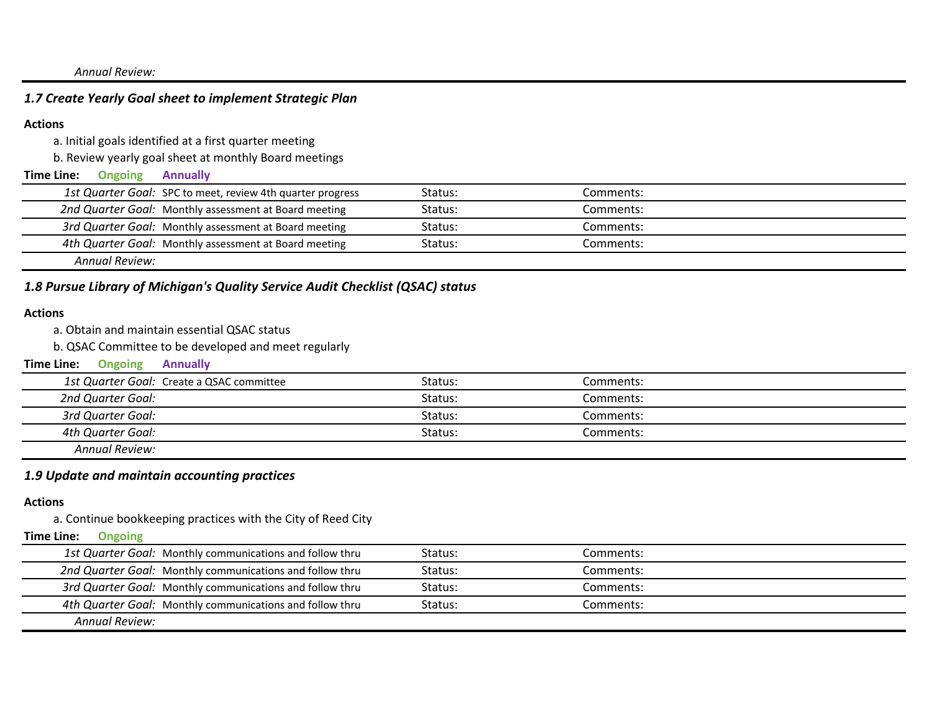### *Annual Review:*

# *1.7 Create Yearly Goal sheet to implement Strategic Plan*

## **Actions**

a. Initial goals identified at a first quarter meeting

b. Review yearly goal sheet at monthly Board meetings

#### **Ongoing Annually Time Line:**

| 1st Quarter Goal: SPC to meet, review 4th quarter progress | Status: | Comments: |
|------------------------------------------------------------|---------|-----------|
| 2nd Quarter Goal: Monthly assessment at Board meeting      | Status: | Comments: |
| 3rd Quarter Goal: Monthly assessment at Board meeting      | Status: | Comments: |
| 4th Quarter Goal: Monthly assessment at Board meeting      | Status: | Comments: |
| Annual Review:                                             |         |           |

# *1.8 Pursue Library of Michigan's Quality Service Audit Checklist (QSAC) status*

#### **Actions**

a. Obtain and maintain essential QSAC status

b. QSAC Committee to be developed and meet regularly

#### **Ongoing Annually Time Line:**

| 1st Quarter Goal: Create a QSAC committee | Status: | Comments: |  |
|-------------------------------------------|---------|-----------|--|
| 2nd Quarter Goal:                         | Status: | Comments: |  |
| 3rd Quarter Goal:                         | Status: | Comments: |  |
| 4th Quarter Goal:                         | Status: | Comments: |  |
| Annual Review:                            |         |           |  |

# *1.9 Update and maintain accounting practices*

## **Actions**

a. Continue bookkeeping practices with the City of Reed City

|                | 1st Quarter Goal: Monthly communications and follow thru | Status: | Comments: |
|----------------|----------------------------------------------------------|---------|-----------|
|                | 2nd Quarter Goal: Monthly communications and follow thru | Status: | Comments: |
|                | 3rd Quarter Goal: Monthly communications and follow thru | Status: | Comments: |
|                | 4th Quarter Goal: Monthly communications and follow thru | Status: | Comments: |
| Annual Review: |                                                          |         |           |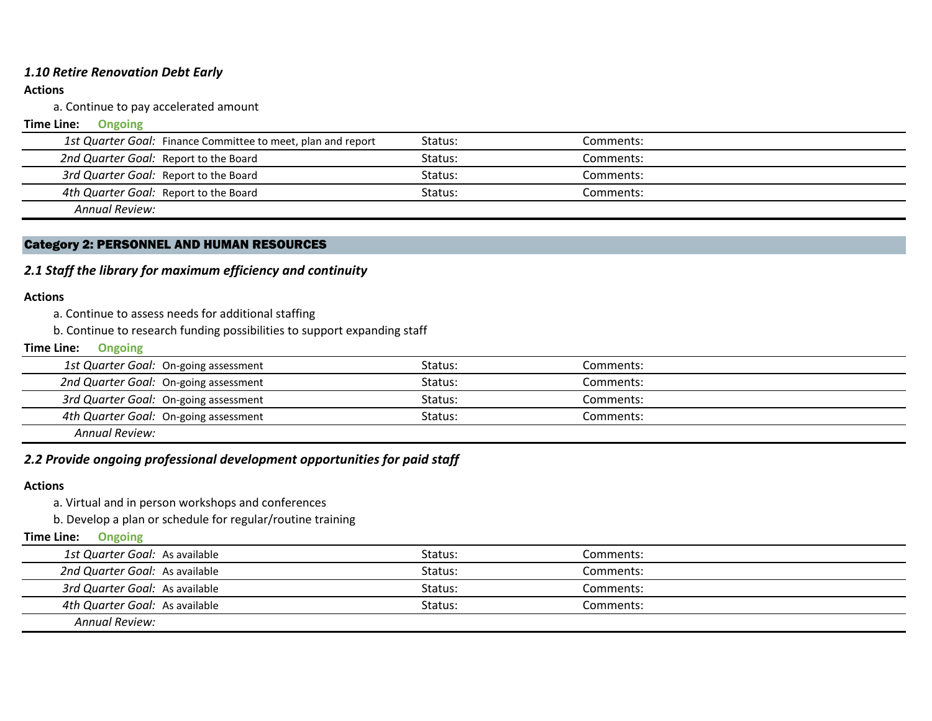# *1.10 Retire Renovation Debt Early*

## **Actions**

a. Continue to pay accelerated amount

#### **Ongoing Time Line:**

| 1st Quarter Goal: Finance Committee to meet, plan and report | Status: | Comments: |  |
|--------------------------------------------------------------|---------|-----------|--|
| 2nd Quarter Goal: Report to the Board                        | Status: | Comments: |  |
| 3rd Quarter Goal: Report to the Board                        | Status: | Comments: |  |
| 4th Quarter Goal: Report to the Board                        | Status: | Comments: |  |
| Annual Review:                                               |         |           |  |

## Category 2: PERSONNEL AND HUMAN RESOURCES

# *2.1 Staff the library for maximum efficiency and continuity*

## **Actions**

a. Continue to assess needs for additional staffing

b. Continue to research funding possibilities to support expanding staff

#### **Ongoing Time Line:**

|                | 1st Quarter Goal: On-going assessment | Status: | Comments: |
|----------------|---------------------------------------|---------|-----------|
|                | 2nd Quarter Goal: On-going assessment | Status: | Comments: |
|                | 3rd Quarter Goal: On-going assessment | Status: | Comments: |
|                | 4th Quarter Goal: On-going assessment | Status: | Comments: |
| Annual Review: |                                       |         |           |

# *2.2 Provide ongoing professional development opportunities for paid staff*

### **Actions**

a. Virtual and in person workshops and conferences

b. Develop a plan or schedule for regular/routine training

| 1st Quarter Goal: As available | Status: | Comments: |  |
|--------------------------------|---------|-----------|--|
| 2nd Quarter Goal: As available | Status: | Comments: |  |
| 3rd Quarter Goal: As available | Status: | Comments: |  |
| 4th Quarter Goal: As available | Status: | Comments: |  |
| <b>Annual Review:</b>          |         |           |  |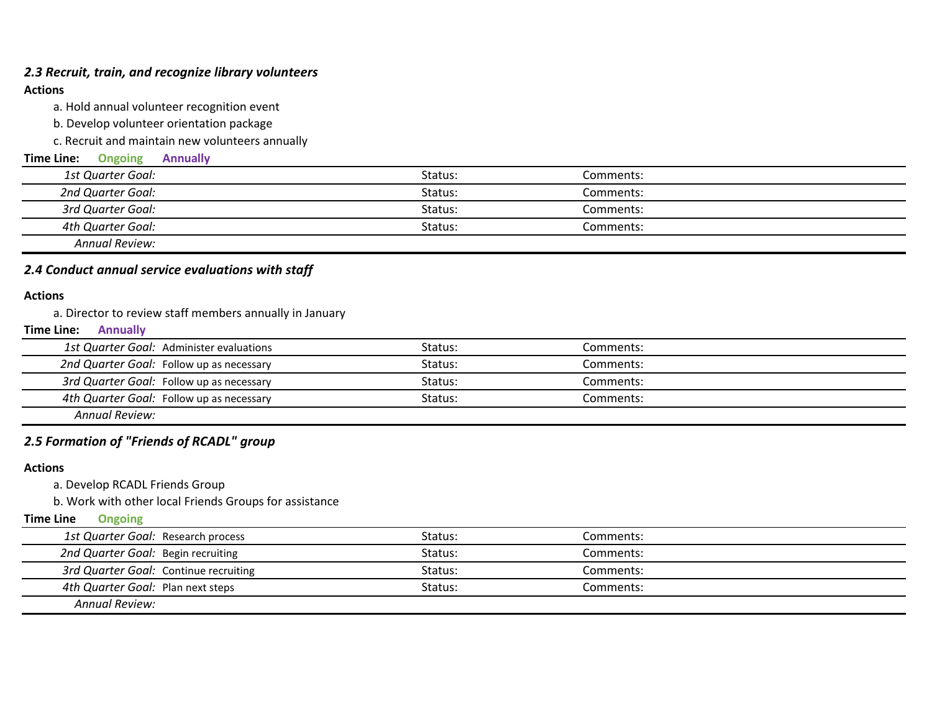## *2.3 Recruit, train, and recognize library volunteers*

## **Actions**

a. Hold annual volunteer recognition event

b. Develop volunteer orientation package

c. Recruit and maintain new volunteers annually

| Time Line:<br><b>Ongoing</b><br><b>Annually</b> |         |           |  |
|-------------------------------------------------|---------|-----------|--|
| 1st Quarter Goal:                               | Status: | Comments: |  |
| 2nd Quarter Goal:                               | Status: | Comments: |  |
| 3rd Quarter Goal:                               | Status: | Comments: |  |
| 4th Quarter Goal:                               | Status: | Comments: |  |
| Annual Review:                                  |         |           |  |

# *2.4 Conduct annual service evaluations with staff*

### **Actions**

a. Director to review staff members annually in January

#### **Annually Time Line:**

|                | 1st Quarter Goal: Administer evaluations | Status: | Comments: |
|----------------|------------------------------------------|---------|-----------|
|                | 2nd Quarter Goal: Follow up as necessary | Status: | Comments: |
|                | 3rd Quarter Goal: Follow up as necessary | Status: | Comments: |
|                | 4th Quarter Goal: Follow up as necessary | Status: | Comments: |
| Annual Review: |                                          |         |           |

# *2.5 Formation of "Friends of RCADL" group*

## **Actions**

a. Develop RCADL Friends Group

b. Work with other local Friends Groups for assistance

| 1st Quarter Goal: Research process    | Status: | Comments: |  |
|---------------------------------------|---------|-----------|--|
| 2nd Quarter Goal: Begin recruiting    | Status: | Comments: |  |
| 3rd Quarter Goal: Continue recruiting | Status: | Comments: |  |
| 4th Quarter Goal: Plan next steps     | Status: | Comments: |  |
| Annual Review:                        |         |           |  |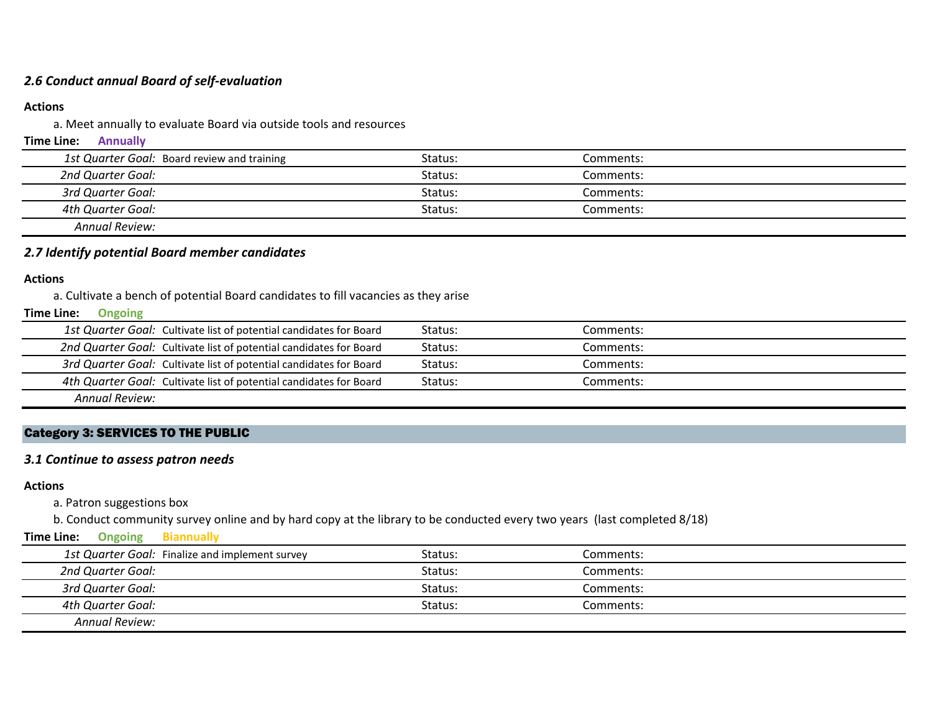# *2.6 Conduct annual Board of self-evaluation*

## **Actions**

a. Meet annually to evaluate Board via outside tools and resources

### **Annually Time Line:**

| 1st Quarter Goal: Board review and training | Status: | Comments: |  |
|---------------------------------------------|---------|-----------|--|
| 2nd Quarter Goal:                           | Status: | Comments: |  |
| 3rd Quarter Goal:                           | Status: | Comments: |  |
| 4th Quarter Goal:                           | Status: | Comments: |  |
| <b>Annual Review:</b>                       |         |           |  |

## *2.7 Identify potential Board member candidates*

### **Actions**

a. Cultivate a bench of potential Board candidates to fill vacancies as they arise

#### **Ongoing Time Line:**

|                       | 1st Quarter Goal: Cultivate list of potential candidates for Board | Status: | Comments: |
|-----------------------|--------------------------------------------------------------------|---------|-----------|
|                       | 2nd Quarter Goal: Cultivate list of potential candidates for Board | Status: | Comments: |
|                       | 3rd Quarter Goal: Cultivate list of potential candidates for Board | Status: | Comments: |
|                       | 4th Quarter Goal: Cultivate list of potential candidates for Board | Status: | Comments: |
| <b>Annual Review:</b> |                                                                    |         |           |

# Category 3: SERVICES TO THE PUBLIC

# *3.1 Continue to assess patron needs*

### **Actions**

## a. Patron suggestions box

b. Conduct community survey online and by hard copy at the library to be conducted every two years (last completed 8/18)

### **Ongoing Biannually Time Line:**

| 1st Quarter Goal: Finalize and implement survey | Status: | Comments: |  |
|-------------------------------------------------|---------|-----------|--|
| 2nd Quarter Goal:                               | Status: | Comments: |  |
| 3rd Quarter Goal:                               | Status: | Comments: |  |
| 4th Quarter Goal:                               | Status: | Comments: |  |
| <b>Annual Review:</b>                           |         |           |  |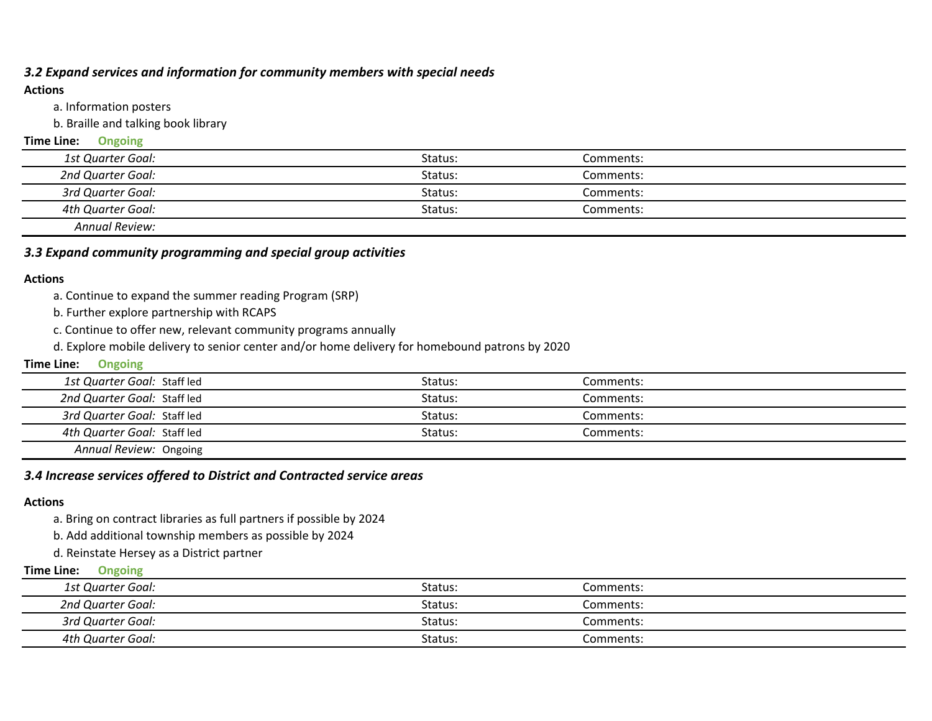# *3.2 Expand services and information for community members with special needs*

### **Actions**

a. Information posters

b. Braille and talking book library

### **Time Line: Ongoing**

| 1st Quarter Goal: | Status: | Comments: |  |
|-------------------|---------|-----------|--|
| 2nd Quarter Goal: | Status: | Comments: |  |
| 3rd Quarter Goal: | Status: | Comments: |  |
| 4th Quarter Goal: | Status: | Comments: |  |
| Annual Review     |         |           |  |

*Annual Review:*

# *3.3 Expand community programming and special group activities*

### **Actions**

a. Continue to expand the summer reading Program (SRP)

b. Further explore partnership with RCAPS

c. Continue to offer new, relevant community programs annually

d. Explore mobile delivery to senior center and/or home delivery for homebound patrons by 2020

### **Time Line: Ongoing**

| 1st Quarter Goal: Staff led | Status: | Comments: |  |
|-----------------------------|---------|-----------|--|
| 2nd Quarter Goal: Staff led | Status: | Comments: |  |
| 3rd Quarter Goal: Staff led | Status: | Comments: |  |
| 4th Quarter Goal: Staff led | Status: | Comments: |  |
| Annual Review: Ongoing      |         |           |  |

# *3.4 Increase services offered to District and Contracted service areas*

## **Actions**

a. Bring on contract libraries as full partners if possible by 2024

b. Add additional township members as possible by 2024

d. Reinstate Hersey as a District partner

| 1st Quarter Goal: | Status. | Comments: |  |
|-------------------|---------|-----------|--|
| 2nd Quarter Goal: | Status: | Comments: |  |
| 3rd Quarter Goal: | Status: | Comments: |  |
| 4th Quarter Goal: | Status: | Comments: |  |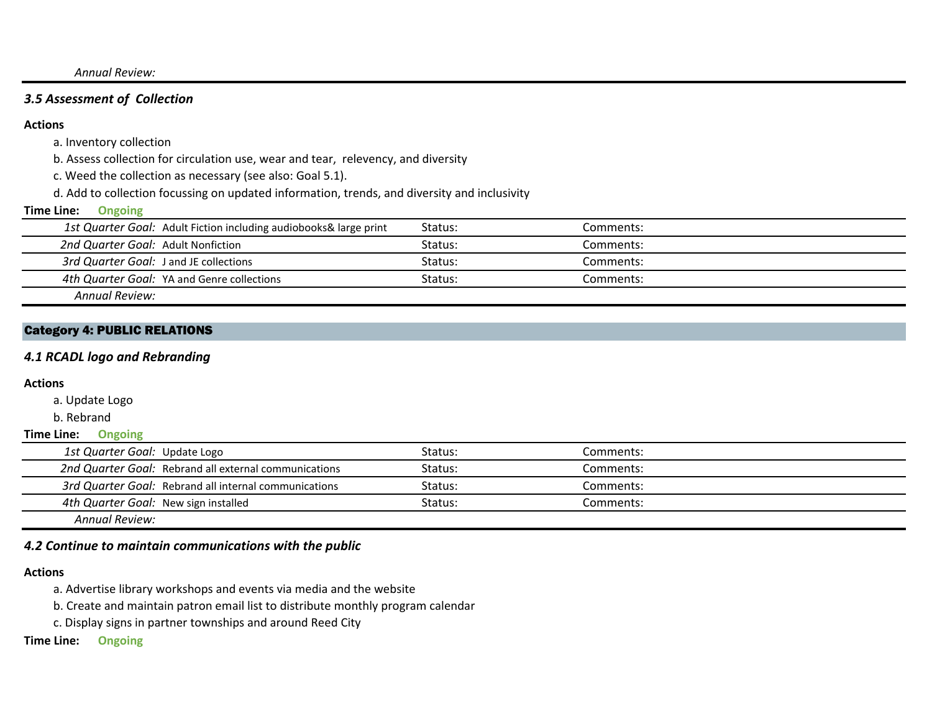*Annual Review:*

# *3.5 Assessment of Collection*

### **Actions**

a. Inventory collection

b. Assess collection for circulation use, wear and tear, relevency, and diversity

c. Weed the collection as necessary (see also: Goal 5.1).

d. Add to collection focussing on updated information, trends, and diversity and inclusivity

#### **Ongoing Time Line:**

| 1st Quarter Goal: Adult Fiction including audiobooks& large print | Status: | Comments: |
|-------------------------------------------------------------------|---------|-----------|
| 2nd Quarter Goal: Adult Nonfiction                                | Status: | Comments: |
| 3rd Quarter Goal: J and JE collections                            | Status: | Comments: |
| 4th Quarter Goal: YA and Genre collections                        | Status: | Comments: |
| Annual Review:                                                    |         |           |

Category 4: PUBLIC RELATIONS

## *4.1 RCADL logo and Rebranding*

#### **Actions**

a. Update Logo

b. Rebrand

#### **Time Line: Ongoing**

| 1st Quarter Goal: Update Logo        |                                                       | Status: | Comments: |
|--------------------------------------|-------------------------------------------------------|---------|-----------|
|                                      | 2nd Quarter Goal: Rebrand all external communications | Status: | Comments: |
|                                      | 3rd Quarter Goal: Rebrand all internal communications | Status: | Comments: |
| 4th Quarter Goal: New sign installed |                                                       | Status: | Comments: |
| Annual Review:                       |                                                       |         |           |

*4.2 Continue to maintain communications with the public*

### **Actions**

- a. Advertise library workshops and events via media and the website
- b. Create and maintain patron email list to distribute monthly program calendar
- c. Display signs in partner townships and around Reed City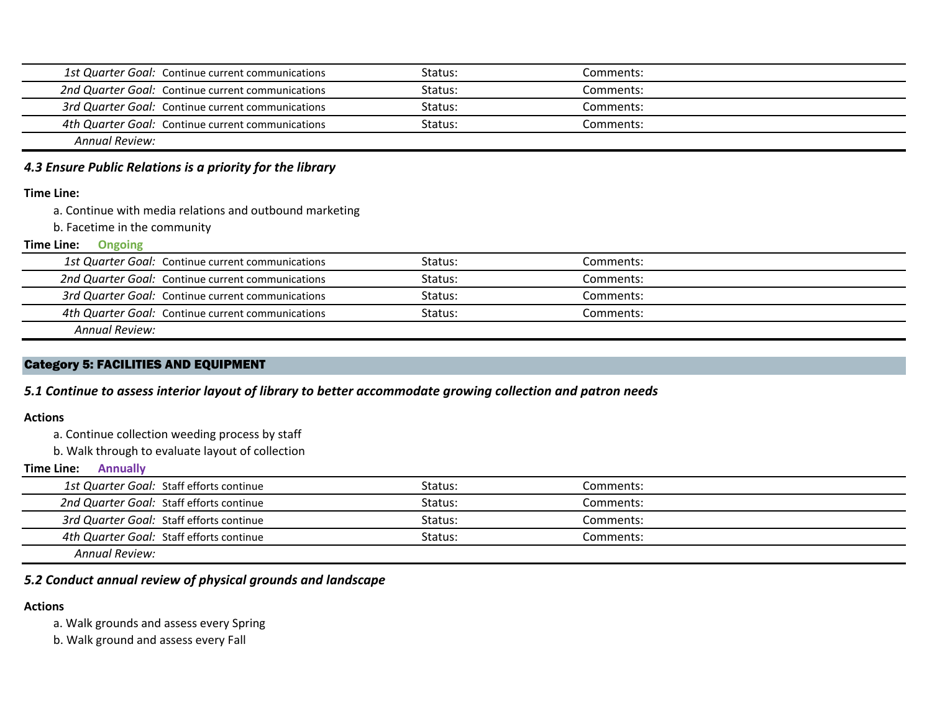| 1st Quarter Goal: Continue current communications | Status: | Comments: |  |
|---------------------------------------------------|---------|-----------|--|
| 2nd Quarter Goal: Continue current communications | Status: | Comments: |  |
| 3rd Quarter Goal: Continue current communications | Status: | Comments: |  |
| 4th Quarter Goal: Continue current communications | Status: | Comments: |  |
| Annual Review:                                    |         |           |  |

# *4.3 Ensure Public Relations is a priority for the library*

#### **Time Line:**

a. Continue with media relations and outbound marketing

b. Facetime in the community

#### **Ongoing Time Line:**

|                | 1st Quarter Goal: Continue current communications | Status: | Comments: |
|----------------|---------------------------------------------------|---------|-----------|
|                | 2nd Quarter Goal: Continue current communications | Status: | Comments: |
|                | 3rd Quarter Goal: Continue current communications | Status: | Comments: |
|                | 4th Quarter Goal: Continue current communications | Status: | Comments: |
| Annual Review: |                                                   |         |           |

# Category 5: FACILITIES AND EQUIPMENT

*5.1 Continue to assess interior layout of library to better accommodate growing collection and patron needs*

### **Actions**

a. Continue collection weeding process by staff

b. Walk through to evaluate layout of collection

## **Annually Time Line:**

| 1st Quarter Goal: Staff efforts continue | Status: | Comments: |  |
|------------------------------------------|---------|-----------|--|
| 2nd Quarter Goal: Staff efforts continue | Status: | Comments: |  |
| 3rd Quarter Goal: Staff efforts continue | Status: | Comments: |  |
| 4th Quarter Goal: Staff efforts continue | Status: | Comments: |  |
| <b>Annual Review:</b>                    |         |           |  |

# *5.2 Conduct annual review of physical grounds and landscape*

## **Actions**

a. Walk grounds and assess every Spring

b. Walk ground and assess every Fall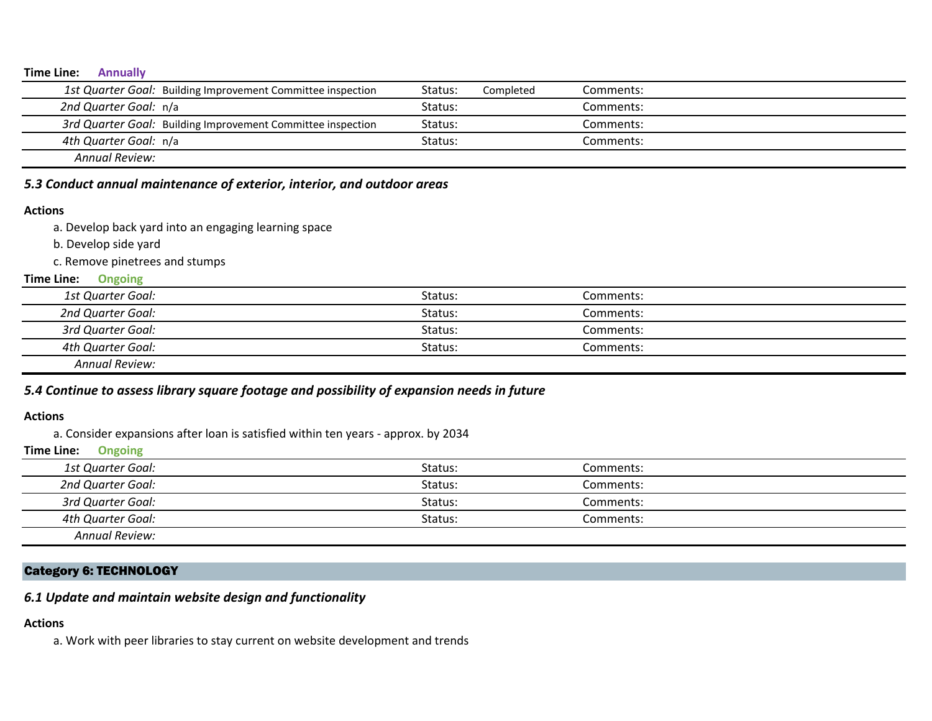### **Annually Time Line:**

| 1st Quarter Goal: Building Improvement Committee inspection | Status: | Completed | Comments: |
|-------------------------------------------------------------|---------|-----------|-----------|
| 2nd Quarter Goal: n/a                                       | Status: |           | Comments: |
| 3rd Quarter Goal: Building Improvement Committee inspection | Status: |           | Comments: |
| 4th Quarter Goal: n/a                                       | Status: |           | Comments: |
| Annual Review:                                              |         |           |           |

# *5.3 Conduct annual maintenance of exterior, interior, and outdoor areas*

### **Actions**

- a. Develop back yard into an engaging learning space
- b. Develop side yard
- c. Remove pinetrees and stumps

#### **Ongoing Time Line:**

| 1st Quarter Goal:                                                                                                                                                                                                                                                                    | Status: | Comments: |  |
|--------------------------------------------------------------------------------------------------------------------------------------------------------------------------------------------------------------------------------------------------------------------------------------|---------|-----------|--|
| 2nd Quarter Goal:                                                                                                                                                                                                                                                                    | Status: | Comments: |  |
| 3rd Quarter Goal:                                                                                                                                                                                                                                                                    | Status: | Comments: |  |
| 4th Quarter Goal:                                                                                                                                                                                                                                                                    | Status: | Comments: |  |
| $A_1, A_2, A_3, A_4, A_5, A_6, A_7, A_8, A_9, A_1, A_2, A_3, A_4, A_5, A_6, A_7, A_8, A_9, A_1, A_2, A_3, A_1, A_2, A_3, A_1, A_2, A_3, A_4, A_5, A_6, A_7, A_8, A_9, A_1, A_2, A_3, A_1, A_2, A_3, A_4, A_5, A_6, A_7, A_8, A_9, A_1, A_2, A_3, A_1, A_2, A_3, A_1, A_2, A_3, A_4,$ |         |           |  |

*Annual Review:*

# *5.4 Continue to assess library square footage and possibility of expansion needs in future*

#### **Actions**

a. Consider expansions after loan is satisfied within ten years - approx. by 2034

#### **Ongoing Time Line:**

| 1st Quarter Goal:     | Status: | Comments: |  |
|-----------------------|---------|-----------|--|
| 2nd Quarter Goal:     | Status: | Comments: |  |
| 3rd Quarter Goal:     | Status: | Comments: |  |
| 4th Quarter Goal:     | Status: | Comments: |  |
| <b>Annual Review:</b> |         |           |  |

## Category 6: TECHNOLOGY

## *6.1 Update and maintain website design and functionality*

#### **Actions**

a. Work with peer libraries to stay current on website development and trends